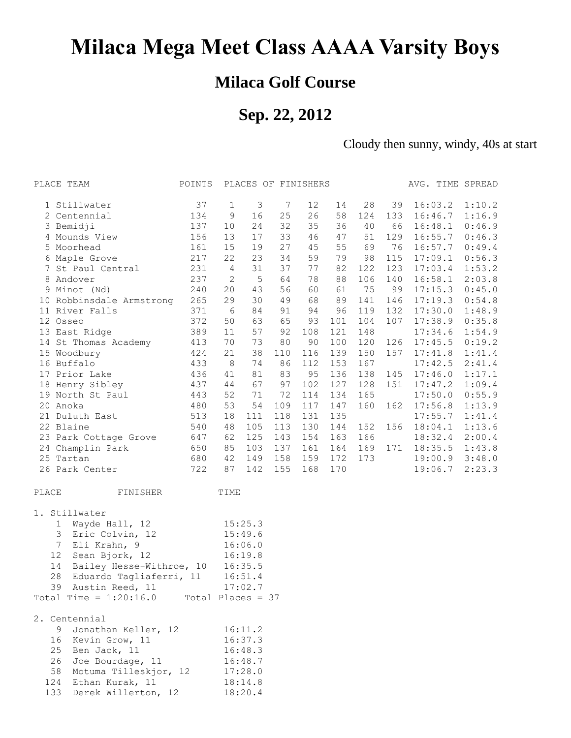# **Milaca Mega Meet Class AAAA Varsity Boys**

### **Milaca Golf Course**

## **Sep. 22, 2012**

Cloudy then sunny, windy, 40s at start

| PLACE TEAM                                 | POINTS |                | PLACES OF FINISHERS |     |     |     |     |     |         | AVG. TIME SPREAD |
|--------------------------------------------|--------|----------------|---------------------|-----|-----|-----|-----|-----|---------|------------------|
| 1 Stillwater                               | 37     | 1              | 3                   | 7   | 12  | 14  | 28  | 39  | 16:03.2 | 1:10.2           |
| 2 Centennial                               | 134    | 9              | 16                  | 25  | 26  | 58  | 124 | 133 | 16:46.7 | 1:16.9           |
| 3 Bemidji                                  | 137    | 10             | 24                  | 32  | 35  | 36  | 40  | 66  | 16:48.1 | 0:46.9           |
| 4 Mounds View                              | 156    | 13             | 17                  | 33  | 46  | 47  | 51  | 129 | 16:55.7 | 0:46.3           |
| 5 Moorhead                                 | 161    | 15             | 19                  | 27  | 45  | 55  | 69  | 76  | 16:57.7 | 0:49.4           |
| 6 Maple Grove                              | 217    | 22             | 23                  | 34  | 59  | 79  | 98  | 115 | 17:09.1 | 0:56.3           |
| 7 St Paul Central                          | 231    | $\overline{4}$ | 31                  | 37  | 77  | 82  | 122 | 123 | 17:03.4 | 1:53.2           |
| 8 Andover                                  | 237    | $\mathbf{2}$   | $\mathsf S$         | 64  | 78  | 88  | 106 | 140 | 16:58.1 | 2:03.8           |
| 9 Minot (Nd)                               | 240    | 20             | 43                  | 56  | 60  | 61  | 75  | 99  | 17:15.3 | 0:45.0           |
| 10 Robbinsdale Armstrong 265               |        | 29             | 30                  | 49  | 68  | 89  | 141 | 146 | 17:19.3 | 0:54.8           |
| 11 River Falls                             | 371    | 6              | 84                  | 91  | 94  | 96  | 119 | 132 | 17:30.0 | 1:48.9           |
| 12 Osseo                                   | 372    | 50             | 63                  | 65  | 93  | 101 | 104 | 107 | 17:38.9 | 0:35.8           |
| 13 East Ridge                              | 389    | 11             | 57                  | 92  | 108 | 121 | 148 |     | 17:34.6 | 1:54.9           |
| 14 St Thomas Academy                       | 413    | 70             | 73                  | 80  | 90  | 100 | 120 | 126 | 17:45.5 | 0:19.2           |
| 15 Woodbury                                | 424    | 21             | 38                  | 110 | 116 | 139 | 150 | 157 | 17:41.8 | 1:41.4           |
| 16 Buffalo                                 | 433    | 8              | 74                  | 86  | 112 | 153 | 167 |     | 17:42.5 | 2:41.4           |
| 17 Prior Lake                              | 436    | 41             | 81                  | 83  | 95  | 136 | 138 | 145 | 17:46.0 | 1:17.1           |
| 18 Henry Sibley                            | 437    | 44             | 67                  | 97  | 102 | 127 | 128 | 151 | 17:47.2 | 1:09.4           |
| 19 North St Paul                           | 443    | 52             | 71                  | 72  | 114 | 134 | 165 |     | 17:50.0 | 0:55.9           |
| 20 Anoka                                   | 480    | 53             | 54                  | 109 | 117 | 147 | 160 | 162 | 17:56.8 | 1:13.9           |
| 21 Duluth East                             | 513    | 18             | 111                 | 118 | 131 | 135 |     |     | 17:55.7 | 1:41.4           |
| 22 Blaine                                  | 540    | 48             | 105                 | 113 | 130 | 144 | 152 | 156 | 18:04.1 | 1:13.6           |
| 23 Park Cottage Grove 647                  |        | 62             | 125                 | 143 | 154 | 163 | 166 |     | 18:32.4 | 2:00.4           |
| 24 Champlin Park                           | 650    | 85             | 103                 | 137 | 161 | 164 | 169 | 171 | 18:35.5 | 1:43.8           |
| 25 Tartan                                  | 680    | 42             | 149                 | 158 | 159 | 172 | 173 |     |         | 19:00.9 3:48.0   |
| 26 Park Center                             | 722    | 87             | 142                 | 155 | 168 | 170 |     |     | 19:06.7 | 2:23.3           |
| PLACE<br>FINISHER                          |        | TIME           |                     |     |     |     |     |     |         |                  |
| 1. Stillwater                              |        |                |                     |     |     |     |     |     |         |                  |
| Wayde Hall, 12 15:25.3<br>$\mathbf{1}$     |        |                |                     |     |     |     |     |     |         |                  |
| Eric Colvin, 12<br>3                       |        |                | 15:49.6             |     |     |     |     |     |         |                  |
| $\overline{7}$<br>Eli Krahn, 9             |        |                | 16:06.0             |     |     |     |     |     |         |                  |
| 12<br>Sean Bjork, 12                       |        |                | 16:19.8             |     |     |     |     |     |         |                  |
| 14<br>Bailey Hesse-Withroe, 10             |        |                | 16:35.5             |     |     |     |     |     |         |                  |
| Eduardo Tagliaferri, 11 16:51.4<br>28      |        |                |                     |     |     |     |     |     |         |                  |
| 39<br>Austin Reed, 11                      |        |                | 17:02.7             |     |     |     |     |     |         |                  |
| Total Time = $1:20:16.0$ Total Places = 37 |        |                |                     |     |     |     |     |     |         |                  |
| 2. Centennial                              |        |                |                     |     |     |     |     |     |         |                  |
| Jonathan Keller, 12<br>9                   |        |                | 16:11.2             |     |     |     |     |     |         |                  |
| Kevin Grow, 11<br>16                       |        |                | 16:37.3             |     |     |     |     |     |         |                  |
| 25<br>Ben Jack, 11                         |        |                | 16:48.3             |     |     |     |     |     |         |                  |
| Joe Bourdage, 11<br>26                     |        |                | 16:48.7             |     |     |     |     |     |         |                  |
| 58<br>Motuma Tilleskjor, 12                |        |                | 17:28.0             |     |     |     |     |     |         |                  |
| 124<br>Ethan Kurak, 11                     |        |                | 18:14.8             |     |     |     |     |     |         |                  |
| 133<br>Derek Willerton, 12                 |        |                | 18:20.4             |     |     |     |     |     |         |                  |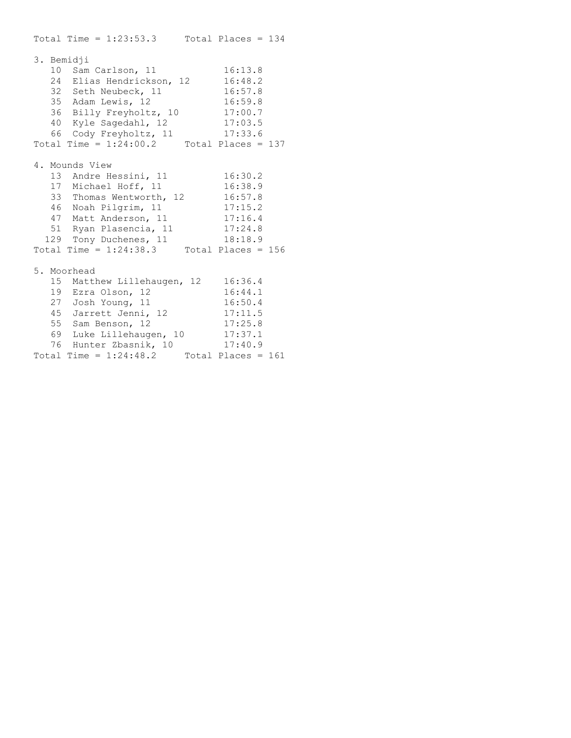Total Time =  $1:23:53.3$  Total Places = 134 3. Bemidji 10 Sam Carlson, 11 16:13.8 24 Elias Hendrickson, 12 16:48.2 32 Seth Neubeck, 11 16:57.8 35 Adam Lewis, 12 16:59.8 36 Billy Freyholtz, 10 17:00.7 40 Kyle Sagedahl, 12 17:03.5 66 Cody Freyholtz, 11 17:33.6 Total Time =  $1:24:00.2$  Total Places = 137 4. Mounds View 13 Andre Hessini, 11 16:30.2 17 Michael Hoff, 11 16:38.9 33 Thomas Wentworth, 12 16:57.8 46 Noah Pilgrim, 11 17:15.2 47 Matt Anderson, 11 17:16.4 51 Ryan Plasencia, 11 17:24.8 129 Tony Duchenes, 11 18:18.9 Total Time =  $1:24:38.3$  Total Places = 156 5. Moorhead 15 Matthew Lillehaugen, 12 16:36.4 19 Ezra Olson, 12 16:44.1 27 Josh Young, 11 16:50.4 45 Jarrett Jenni, 12 17:11.5 55 Sam Benson, 12 17:25.8 69 Luke Lillehaugen, 10 17:37.1 76 Hunter Zbasnik, 10 17:40.9 Total Time =  $1:24:48.2$  Total Places = 161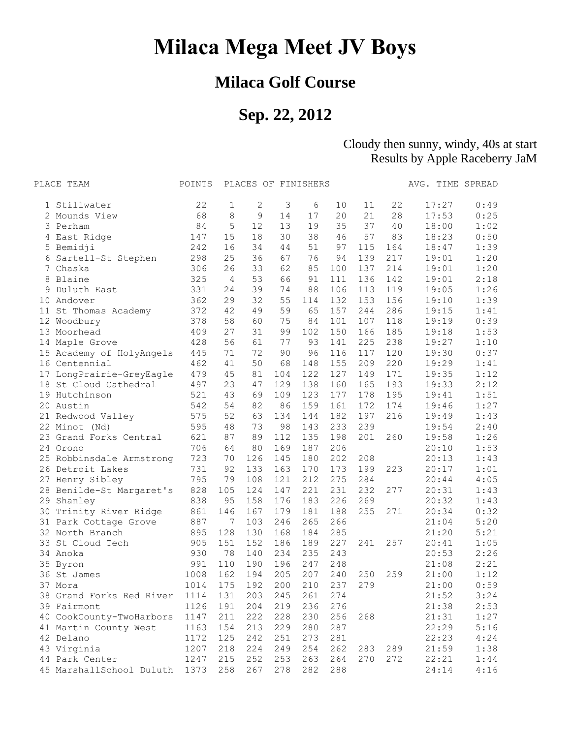# **Milaca Mega Meet JV Boys**

## **Milaca Golf Course**

## **Sep. 22, 2012**

#### Cloudy then sunny, windy, 40s at start Results by Apple Raceberry JaM

|    | PLACE TEAM               | POINTS |     | PLACES OF FINISHERS |     |     |     |     |     | AVG. TIME SPREAD |      |
|----|--------------------------|--------|-----|---------------------|-----|-----|-----|-----|-----|------------------|------|
|    | 1 Stillwater             | 22     | 1   | 2                   | 3   | 6   | 10  | 11  | 22  | 17:27            | 0:49 |
|    | 2 Mounds View            | 68     | 8   | 9                   | 14  | 17  | 20  | 21  | 28  | 17:53            | 0:25 |
|    | 3 Perham                 | 84     | 5   | 12                  | 13  | 19  | 35  | 37  | 40  | 18:00            | 1:02 |
|    | 4 East Ridge             | 147    | 15  | 18                  | 30  | 38  | 46  | 57  | 83  | 18:23            | 0:50 |
|    | 5 Bemidji                | 242    | 16  | 34                  | 44  | 51  | 97  | 115 | 164 | 18:47            | 1:39 |
| 6  | Sartell-St Stephen       | 298    | 25  | 36                  | 67  | 76  | 94  | 139 | 217 | 19:01            | 1:20 |
| 7  | Chaska                   | 306    | 26  | 33                  | 62  | 85  | 100 | 137 | 214 | 19:01            | 1:20 |
| 8  | Blaine                   | 325    | 4   | 53                  | 66  | 91  | 111 | 136 | 142 | 19:01            | 2:18 |
|    | Duluth East              | 331    | 24  | 39                  | 74  | 88  | 106 | 113 | 119 | 19:05            | 1:26 |
| 10 | Andover                  | 362    | 29  | 32                  | 55  | 114 | 132 | 153 | 156 | 19:10            | 1:39 |
| 11 | St Thomas Academy        | 372    | 42  | 49                  | 59  | 65  | 157 | 244 | 286 | 19:15            | 1:41 |
|    | 12 Woodbury              | 378    | 58  | 60                  | 75  | 84  | 101 | 107 | 118 | 19:19            | 0:39 |
| 13 | Moorhead                 | 409    | 27  | 31                  | 99  | 102 | 150 | 166 | 185 | 19:18            | 1:53 |
| 14 | Maple Grove              | 428    | 56  | 61                  | 77  | 93  | 141 | 225 | 238 | 19:27            | 1:10 |
|    | 15 Academy of HolyAngels | 445    | 71  | 72                  | 90  | 96  | 116 | 117 | 120 | 19:30            | 0:37 |
|    | 16 Centennial            | 462    | 41  | 50                  | 68  | 148 | 155 | 209 | 220 | 19:29            | 1:41 |
| 17 | LongPrairie-GreyEagle    | 479    | 45  | 81                  | 104 | 122 | 127 | 149 | 171 | 19:35            | 1:12 |
| 18 | St Cloud Cathedral       | 497    | 23  | 47                  | 129 | 138 | 160 | 165 | 193 | 19:33            | 2:12 |
|    | 19 Hutchinson            | 521    | 43  | 69                  | 109 | 123 | 177 | 178 | 195 | 19:41            | 1:51 |
|    | 20 Austin                | 542    | 54  | 82                  | 86  | 159 | 161 | 172 | 174 | 19:46            | 1:27 |
|    | 21 Redwood Valley        | 575    | 52  | 63                  | 134 | 144 | 182 | 197 | 216 | 19:49            | 1:43 |
|    | 22 Minot (Nd)            | 595    | 48  | 73                  | 98  | 143 | 233 | 239 |     | 19:54            | 2:40 |
| 23 | Grand Forks Central      | 621    | 87  | 89                  | 112 | 135 | 198 | 201 | 260 | 19:58            | 1:26 |
| 24 | Orono                    | 706    | 64  | 80                  | 169 | 187 | 206 |     |     | 20:10            | 1:53 |
|    | 25 Robbinsdale Armstrong | 723    | 70  | 126                 | 145 | 180 | 202 | 208 |     | 20:13            | 1:43 |
| 26 | Detroit Lakes            | 731    | 92  | 133                 | 163 | 170 | 173 | 199 | 223 | 20:17            | 1:01 |
|    | 27 Henry Sibley          | 795    | 79  | 108                 | 121 | 212 | 275 | 284 |     | 20:44            | 4:05 |
|    | 28 Benilde-St Margaret's | 828    | 105 | 124                 | 147 | 221 | 231 | 232 | 277 | 20:31            | 1:43 |
| 29 | Shanley                  | 838    | 95  | 158                 | 176 | 183 | 226 | 269 |     | 20:32            | 1:43 |
| 30 | Trinity River Ridge      | 861    | 146 | 167                 | 179 | 181 | 188 | 255 | 271 | 20:34            | 0:32 |
|    | 31 Park Cottage Grove    | 887    | 7   | 103                 | 246 | 265 | 266 |     |     | 21:04            | 5:20 |
|    | 32 North Branch          | 895    | 128 | 130                 | 168 | 184 | 285 |     |     | 21:20            | 5:21 |
| 33 | St Cloud Tech            | 905    | 151 | 152                 | 186 | 189 | 227 | 241 | 257 | 20:41            | 1:05 |
|    | 34 Anoka                 | 930    | 78  | 140                 | 234 | 235 | 243 |     |     | 20:53            | 2:26 |
| 35 | Byron                    | 991    | 110 | 190                 | 196 | 247 | 248 |     |     | 21:08            | 2:21 |
|    | 36 St James              | 1008   | 162 | 194                 | 205 | 207 | 240 | 250 | 259 | 21:00            | 1:12 |
|    | 37 Mora                  | 1014   | 175 | 192                 | 200 | 210 | 237 | 279 |     | 21:00            | 0:59 |
|    | 38 Grand Forks Red River | 1114   | 131 | 203                 | 245 | 261 | 274 |     |     | 21:52            | 3:24 |
|    | 39 Fairmont              | 1126   | 191 | 204                 | 219 | 236 | 276 |     |     | 21:38            | 2:53 |
|    | 40 CookCounty-TwoHarbors | 1147   | 211 | 222                 | 228 | 230 | 256 | 268 |     | 21:31            | 1:27 |
|    | 41 Martin County West    | 1163   | 154 | 213                 | 229 | 280 | 287 |     |     | 22:29            | 5:16 |
|    | 42 Delano                | 1172   | 125 | 242                 | 251 | 273 | 281 |     |     | 22:23            | 4:24 |
|    | 43 Virginia              | 1207   | 218 | 224                 | 249 | 254 | 262 | 283 | 289 | 21:59            | 1:38 |
|    | 44 Park Center           | 1247   | 215 | 252                 | 253 | 263 | 264 | 270 | 272 | 22:21            | 1:44 |
|    | 45 MarshallSchool Duluth | 1373   | 258 | 267                 | 278 | 282 | 288 |     |     | 24:14            | 4:16 |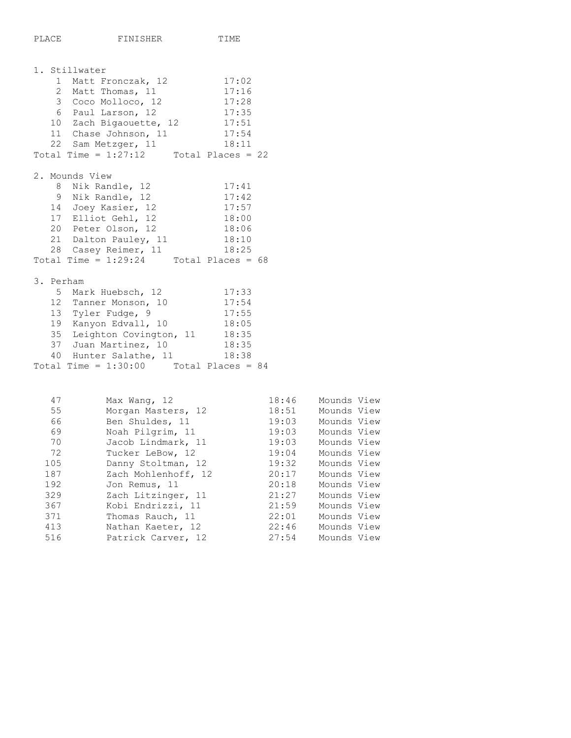```
1. Stillwater
1 Matt Fronczak, 12 17:02
2 Matt Thomas, 11 17:16
3 Coco Molloco, 12 17:28
 6 Paul Larson, 12 17:35 
10 Zach Bigaouette, 12 17:51
11 Chase Johnson, 11 17:54
22 Sam Metzger, 11 18:11
Total Time = 1:27:12 Total Places = 22
2. Mounds View
8 Nik Randle, 12 17:41
9 Nik Randle, 12 17:42
14 Joey Kasier, 12 17:57
17 Elliot Gehl, 12 18:00
20 Peter Olson, 12 18:06
21 Dalton Pauley, 11 18:10
28 Casey Reimer, 11 18:25
Total Time = 1:29:24 Total Places = 68
3. Perham
5 Mark Huebsch, 12 17:33
 12 Tanner Monson, 10 17:54 
13 Tyler Fudge, 9 17:55
19 Kanyon Edvall, 10 18:05
35 Leighton Covington, 11 18:35
 37 Juan Martinez, 10 18:35 
40 Hunter Salathe, 11 18:38
Total Time = 1:30:00 Total Places = 84 47 Max Wang, 12 18:46 Mounds View
```

| 55  | Morgan Masters, 12  | 18:51 | Mounds View |
|-----|---------------------|-------|-------------|
| 66  | Ben Shuldes, 11     | 19:03 | Mounds View |
| 69  | Noah Pilgrim, 11    | 19:03 | Mounds View |
| 70  | Jacob Lindmark, 11  | 19:03 | Mounds View |
| 72  | Tucker LeBow, 12    | 19:04 | Mounds View |
| 105 | Danny Stoltman, 12  | 19:32 | Mounds View |
| 187 | Zach Mohlenhoff, 12 | 20:17 | Mounds View |
| 192 | Jon Remus, 11       | 20:18 | Mounds View |
| 329 | Zach Litzinger, 11  | 21:27 | Mounds View |
| 367 | Kobi Endrizzi, 11   | 21:59 | Mounds View |
| 371 | Thomas Rauch, 11    | 22:01 | Mounds View |
| 413 | Nathan Kaeter, 12   | 22:46 | Mounds View |
| 516 | Patrick Carver, 12  | 27:54 | Mounds View |
|     |                     |       |             |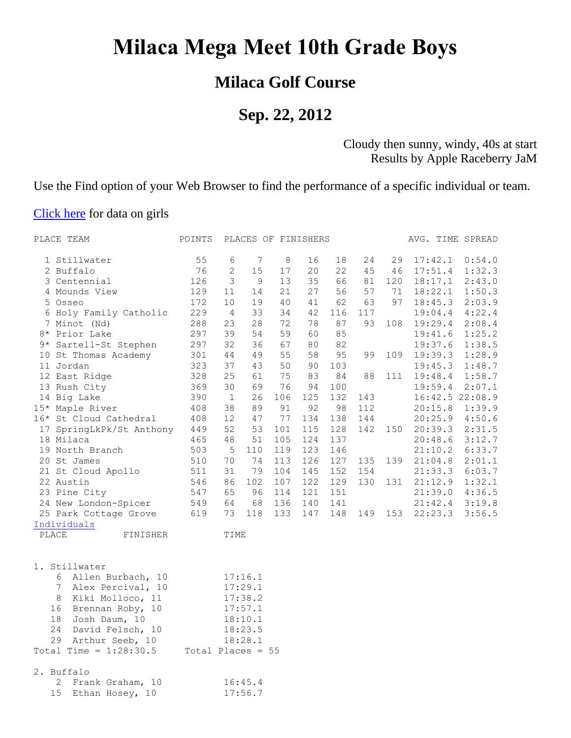# **Milaca Mega Meet 10th Grade Boys**

### **Milaca Golf Course**

### **Sep. 22, 2012**

#### Cloudy then sunny, windy, 40s at start Results by Apple Raceberry JaM

Use the Find option of your Web Browser to find the performance of a specific individual or team.

#### [Click here](http://www.raceberryjam.com/2012/milacavgirls10.html) for data on girls

| PLACE TEAM               | POINTS              |                |                 | PLACES OF FINISHERS |     |     |     |     | AVG. TIME SPREAD |                 |
|--------------------------|---------------------|----------------|-----------------|---------------------|-----|-----|-----|-----|------------------|-----------------|
| 1 Stillwater             | 55                  | 6              | $7\phantom{.0}$ | 8                   | 16  | 18  | 24  | 29  | 17:42.1          | 0:54.0          |
| 2 Buffalo                | 76                  | $\mathbf{2}$   | 15              | 17                  | 20  | 22  | 45  | 46  | 17:51.4          | 1:32.3          |
| 3 Centennial             | 126                 | 3              | $\mathcal{G}$   | 13                  | 35  | 66  | 81  | 120 | 18:17.1          | 2:43.0          |
| 4 Mounds View            | 129                 | 11             | 14              | 21                  | 27  | 56  | 57  | 71  | 18:22.1          | 1:50.3          |
| 5 Osseo                  | 172                 | 10             | 19              | 40                  | 41  | 62  | 63  | 97  | 18:45.3          | 2:03.9          |
| 6 Holy Family Catholic   | 229                 | $\overline{4}$ | 33              | 34                  | 42  | 116 | 117 |     | 19:04.4          | 4:22.4          |
| 7 Minot (Nd)             | 288                 | 23             | 28              | 72                  | 78  | 87  | 93  | 108 | 19:29.4          | 2:08.4          |
| 8* Prior Lake            | 297                 | 39             | 54              | 59                  | 60  | 85  |     |     | 19:41.6          | 1:25.2          |
| 9* Sartell-St Stephen    | 297                 | 32             | 36              | 67                  | 80  | 82  |     |     | 19:37.6          | 1:38.5          |
| 10 St Thomas Academy     | 301                 | 44             | 49              | 55                  | 58  | 95  | 99  | 109 | 19:39.3          | 1:28.9          |
| 11 Jordan                | 323                 | 37             | 43              | 50                  | 90  | 103 |     |     | 19:45.3          | 1:48.7          |
| 12 East Ridge            | 328                 | 25             | 61              | 75                  | 83  | 84  | 88  | 111 | 19:48.4          | 1:58.7          |
| 13 Rush City             | 369                 | 30             | 69              | 76                  | 94  | 100 |     |     | 19:59.4          | 2:07.1          |
| 14 Big Lake              | 390                 | $\mathbf{1}$   | 26              | 106                 | 125 | 132 | 143 |     |                  | 16:42.5 22:08.9 |
| 15* Maple River          | 408                 | 38             | 89              | 91                  | 92  | 98  | 112 |     | 20:15.8          | 1:39.9          |
| 16* St Cloud Cathedral   | 408                 | 12             | 47              | 77                  | 134 | 138 | 144 |     | 20:25.9          | 4:50.6          |
| 17 SpringLkPk/St Anthony | 449                 | 52             | 53              | 101                 | 115 | 128 | 142 | 150 | 20:39.3          | 2:31.5          |
| 18 Milaca                | 465                 | 48             | 51              | 105                 | 124 | 137 |     |     | 20:48.6          | 3:12.7          |
| 19 North Branch          | 503                 | - 5            | 110             | 119                 | 123 | 146 |     |     | 21:10.2          | 6:33.7          |
| 20 St James              | 510                 | 70             | 74              | 113                 | 126 | 127 | 135 | 139 | 21:04.8          | 2:01.1          |
| 21 St Cloud Apollo       | 511                 | 31             | 79              | 104                 | 145 | 152 | 154 |     | 21:33.3          | 6:03.7          |
| 22 Austin                | 546                 | 86             | 102             | 107                 | 122 | 129 | 130 | 131 | 21:12.9          | 1:32.1          |
| 23 Pine City             | 547                 | 65             | 96              | 114                 | 121 | 151 |     |     | 21:39.0          | 4:36.5          |
| 24 New London-Spicer     | 549                 | 64             | 68              | 136                 | 140 | 141 |     |     | 21:42.4          | 3:19.8          |
| 25 Park Cottage Grove    | 619                 | 73             | 118             | 133                 | 147 | 148 | 149 | 153 | 22:23.3          | 3:56.5          |
| Individuals              |                     |                |                 |                     |     |     |     |     |                  |                 |
| PLACE<br>FINISHER        |                     | TIME           |                 |                     |     |     |     |     |                  |                 |
| 1. Stillwater            |                     |                |                 |                     |     |     |     |     |                  |                 |
| 6<br>Allen Burbach, 10   |                     |                | 17:16.1         |                     |     |     |     |     |                  |                 |
| 7<br>Alex Percival, 10   |                     |                | 17:29.1         |                     |     |     |     |     |                  |                 |
| 8<br>Kiki Molloco, 11    |                     |                | 17:38.2         |                     |     |     |     |     |                  |                 |
| 16<br>Brennan Roby, 10   |                     |                | 17:57.1         |                     |     |     |     |     |                  |                 |
| 18<br>Josh Daum, 10      |                     |                | 18:10.1         |                     |     |     |     |     |                  |                 |
| 24<br>David Felsch, 10   |                     |                | 18:23.5         |                     |     |     |     |     |                  |                 |
| 29<br>Arthur Seeb, 10    |                     |                | 18:28.1         |                     |     |     |     |     |                  |                 |
| Total Time = $1:28:30.5$ | Total Places = $55$ |                |                 |                     |     |     |     |     |                  |                 |
| 2. Buffalo               |                     |                |                 |                     |     |     |     |     |                  |                 |
| 2<br>Frank Graham, 10    |                     |                | 16:45.4         |                     |     |     |     |     |                  |                 |
| 15<br>Ethan Hosey, 10    |                     |                | 17:56.7         |                     |     |     |     |     |                  |                 |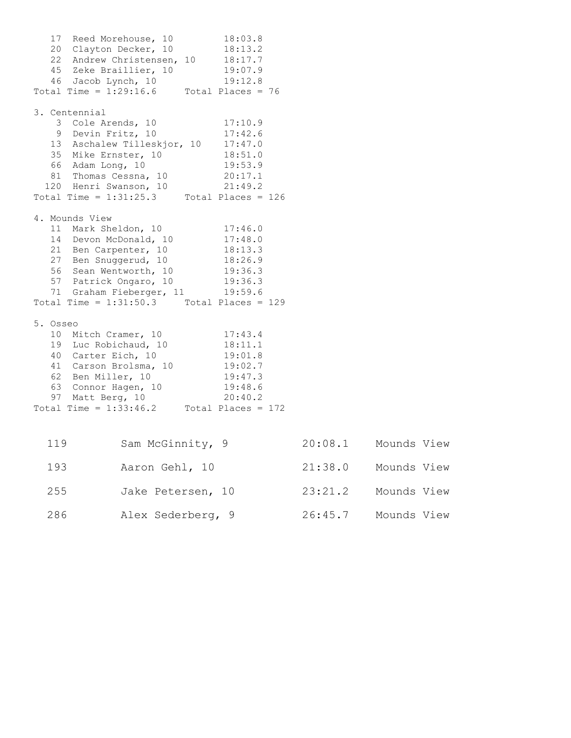17 Reed Morehouse, 10 18:03.8 20 Clayton Decker, 10 18:13.2 22 Andrew Christensen, 10 18:17.7 45 Zeke Braillier, 10 19:07.9 46 Jacob Lynch, 10 19:12.8 Total Time =  $1:29:16.6$  Total Places = 76 3. Centennial 3 Cole Arends, 10 17:10.9 9 Devin Fritz, 10 17:42.6 13 Aschalew Tilleskjor, 10 17:47.0 35 Mike Ernster, 10 18:51.0 66 Adam Long, 10 19:53.9 81 Thomas Cessna, 10 20:17.1 120 Henri Swanson, 10 21:49.2 Total Time =  $1:31:25.3$  Total Places =  $126$ 4. Mounds View 11 Mark Sheldon, 10 17:46.0 14 Devon McDonald, 10 17:48.0 21 Ben Carpenter, 10 18:13.3 27 Ben Snuggerud, 10 18:26.9 56 Sean Wentworth, 10 19:36.3 57 Patrick Ongaro, 10 19:36.3 71 Graham Fieberger, 11 19:59.6 Total Time = 1:31:50.3 Total Places = 129 5. Osseo 10 Mitch Cramer, 10 17:43.4 19 Luc Robichaud, 10 18:11.1 40 Carter Eich, 10 19:01.8 41 Carson Brolsma, 10 19:02.7 62 Ben Miller, 10 19:47.3 63 Connor Hagen, 10 19:48.6 97 Matt Berg, 10 20:40.2 Total Time =  $1:33:46.2$  Total Places = 172 119 Sam McGinnity, 9 20:08.1 Mounds View 193 Aaron Gehl, 10 21:38.0 Mounds View

 255 Jake Petersen, 10 23:21.2 Mounds View 286 Alex Sederberg, 9 26:45.7 Mounds View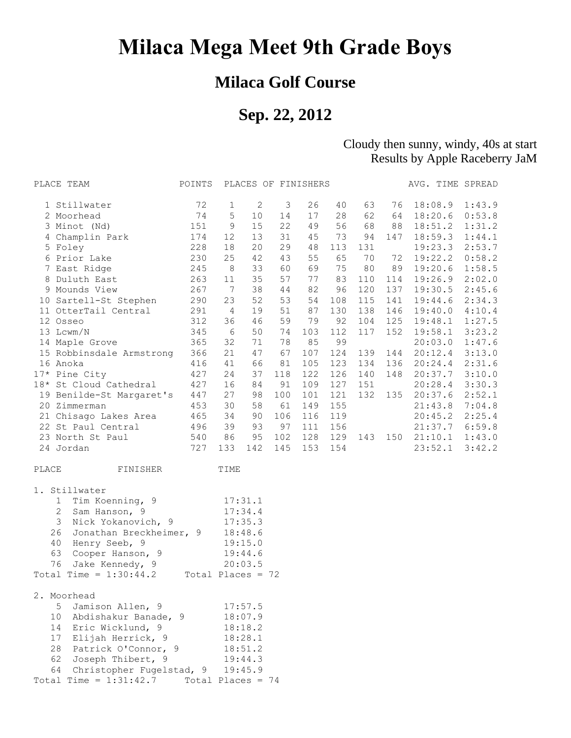# **Milaca Mega Meet 9th Grade Boys**

### **Milaca Golf Course**

## **Sep. 22, 2012**

#### Cloudy then sunny, windy, 40s at start Results by Apple Raceberry JaM

| PLACE TEAM                     | POINTS              |                |              | PLACES OF FINISHERS |     |     |     |     | AVG. TIME SPREAD |        |
|--------------------------------|---------------------|----------------|--------------|---------------------|-----|-----|-----|-----|------------------|--------|
| 1 Stillwater                   | 72                  | 1              | $\mathbf{2}$ | 3                   | 26  | 40  | 63  | 76  | 18:08.9          | 1:43.9 |
| 2 Moorhead                     | 74                  | 5              | 10           | 14                  | 17  | 28  | 62  | 64  | 18:20.6          | 0:53.8 |
| 3 Minot (Nd)                   | 151                 | $\mathsf 9$    | 15           | 22                  | 49  | 56  | 68  | 88  | 18:51.2          | 1:31.2 |
| 4 Champlin Park                | 174                 | 12             | 13           | 31                  | 45  | 73  | 94  | 147 | 18:59.3          | 1:44.1 |
| 5 Foley                        | 228                 | 18             | 20           | 29                  | 48  | 113 | 131 |     | 19:23.3          | 2:53.7 |
| 6 Prior Lake                   | 230                 | 25             | 42           | 43                  | 55  | 65  | 70  | 72  | 19:22.2          | 0:58.2 |
| 7 East Ridge                   | 245                 | 8              | 33           | 60                  | 69  | 75  | 80  | 89  | 19:20.6          | 1:58.5 |
| 8 Duluth East                  | 263                 | 11             | 35           | 57                  | 77  | 83  | 110 | 114 | 19:26.9          | 2:02.0 |
| 9 Mounds View                  | 267                 | $\overline{7}$ | 38           | 44                  | 82  | 96  | 120 | 137 | 19:30.5          | 2:45.6 |
| 10 Sartell-St Stephen          | 290                 | 23             | 52           | 53                  | 54  | 108 | 115 | 141 | 19:44.6          | 2:34.3 |
| 11 OtterTail Central           | 291                 | -4             | 19           | 51                  | 87  | 130 | 138 | 146 | 19:40.0          | 4:10.4 |
| 12 Osseo                       | 312                 | 36             | 46           | 59                  | 79  | 92  | 104 | 125 | 19:48.1          | 1:27.5 |
| 13 Lcwm/N                      | 345                 | 6              | 50           | 74                  | 103 | 112 | 117 | 152 | 19:58.1          | 3:23.2 |
| 14 Maple Grove                 | 365                 | 32             | 71           | 78                  | 85  | 99  |     |     | 20:03.0          | 1:47.6 |
| 15 Robbinsdale Armstrong       | 366                 | 21             | 47           | 67                  | 107 | 124 | 139 | 144 | 20:12.4          | 3:13.0 |
| 16 Anoka                       | 416                 | 41             | 66           | 81                  | 105 | 123 | 134 | 136 | 20:24.4          | 2:31.6 |
| 17* Pine City                  | 427                 | 24             | 37           | 118                 | 122 | 126 | 140 | 148 | 20:37.7          | 3:10.0 |
| 18* St Cloud Cathedral         | 427                 | 16             | 84           | 91                  | 109 | 127 | 151 |     | 20:28.4          | 3:30.3 |
| 19 Benilde-St Margaret's       | 447                 | 27             | 98           | 100                 | 101 | 121 | 132 | 135 | 20:37.6          | 2:52.1 |
| 20 Zimmerman                   | 453                 | 30             | 58           | 61                  | 149 | 155 |     |     | 21:43.8          | 7:04.8 |
| 21 Chisago Lakes Area          | 465                 | 34             | 90           | 106                 | 116 | 119 |     |     | 20:45.2          | 2:25.4 |
| 22 St Paul Central             | 496                 | 39             | 93           | 97                  | 111 | 156 |     |     | 21:37.7          | 6:59.8 |
| 23 North St Paul               | 540                 | 86             | 95           | 102                 | 128 | 129 | 143 | 150 | 21:10.1          | 1:43.0 |
| 24 Jordan                      | 727                 | 133            | 142          | 145                 | 153 | 154 |     |     | 23:52.1          | 3:42.2 |
| FINISHER<br>PLACE              |                     | TIME           |              |                     |     |     |     |     |                  |        |
| 1. Stillwater                  |                     |                |              |                     |     |     |     |     |                  |        |
| Tim Koenning, 9<br>1           |                     |                | 17:31.1      |                     |     |     |     |     |                  |        |
| $\mathbf{2}$<br>Sam Hanson, 9  |                     |                | 17:34.4      |                     |     |     |     |     |                  |        |
| 3<br>Nick Yokanovich, 9        |                     |                | 17:35.3      |                     |     |     |     |     |                  |        |
| 26<br>Jonathan Breckheimer, 9  |                     |                | 18:48.6      |                     |     |     |     |     |                  |        |
| 40<br>Henry Seeb, 9            |                     |                | 19:15.0      |                     |     |     |     |     |                  |        |
| 63<br>Cooper Hanson, 9         |                     |                | 19:44.6      |                     |     |     |     |     |                  |        |
| Jake Kennedy, 9<br>76          |                     |                | 20:03.5      |                     |     |     |     |     |                  |        |
| Total Time = $1:30:44.2$       | Total Places = $72$ |                |              |                     |     |     |     |     |                  |        |
| 2. Moorhead                    |                     |                |              |                     |     |     |     |     |                  |        |
| 5<br>Jamison Allen, 9          |                     |                | 17:57.5      |                     |     |     |     |     |                  |        |
| 10<br>Abdishakur Banade, 9     |                     |                | 18:07.9      |                     |     |     |     |     |                  |        |
| 14<br>Eric Wicklund, 9         |                     |                | 18:18.2      |                     |     |     |     |     |                  |        |
| 17<br>Elijah Herrick, 9        |                     |                | 18:28.1      |                     |     |     |     |     |                  |        |
| 28<br>Patrick O'Connor, 9      |                     |                | 18:51.2      |                     |     |     |     |     |                  |        |
| 62<br>Joseph Thibert, 9        |                     |                | 19:44.3      |                     |     |     |     |     |                  |        |
| Christopher Fugelstad, 9<br>64 |                     |                | 19:45.9      |                     |     |     |     |     |                  |        |
| Total Time = $1:31:42.7$       | Total Places = $74$ |                |              |                     |     |     |     |     |                  |        |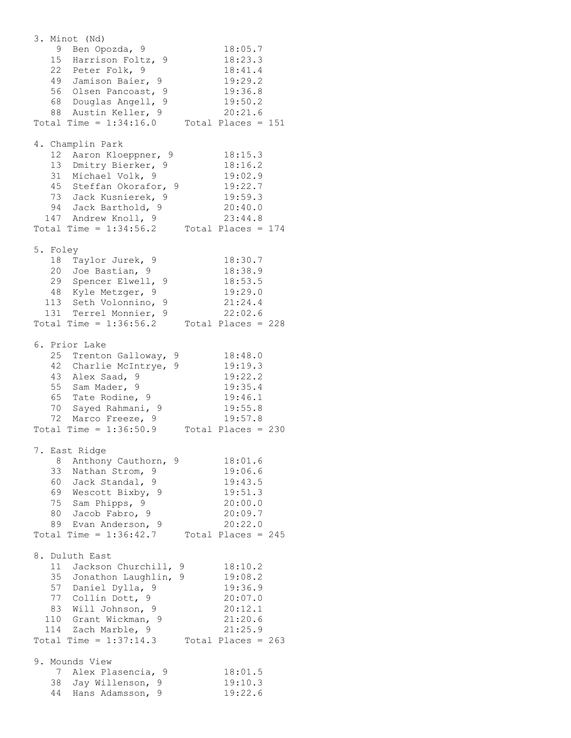3. Minot (Nd) 9 Ben Opozda, 9 18:05.7 15 Harrison Foltz, 9 18:23.3 22 Peter Folk, 9 18:41.4 49 Jamison Baier, 9 19:29.2 56 Olsen Pancoast, 9 19:36.8 68 Douglas Angell, 9 19:50.2 88 Austin Keller, 9 20:21.6 Total Time =  $1:34:16.0$  Total Places = 151 4. Champlin Park 12 Aaron Kloeppner, 9 18:15.3 13 Dmitry Bierker, 9 18:16.2 31 Michael Volk, 9 19:02.9 45 Steffan Okorafor, 9 19:22.7 73 Jack Kusnierek, 9 19:59.3 94 Jack Barthold, 9 20:40.0 147 Andrew Knoll, 9 23:44.8 Total Time =  $1:34:56.2$  Total Places = 174 5. Foley 18 Taylor Jurek, 9 18:30.7 20 Joe Bastian, 9 18:38.9 29 Spencer Elwell, 9 18:53.5 48 Kyle Metzger, 9 19:29.0 113 Seth Volonnino, 9 21:24.4 131 Terrel Monnier, 9 22:02.6 Total Time =  $1:36:56.2$  Total Places =  $228$ 6. Prior Lake 25 Trenton Galloway, 9 18:48.0 42 Charlie McIntrye, 9 19:19.3 43 Alex Saad, 9 19:22.2 55 Sam Mader, 9 19:35.4 65 Tate Rodine, 9 19:46.1 70 Sayed Rahmani, 9 19:55.8 72 Marco Freeze, 9 19:57.8 Total Time =  $1:36:50.9$  Total Places =  $230$ 7. East Ridge 8 Anthony Cauthorn, 9 18:01.6 33 Nathan Strom, 9 19:06.6 60 Jack Standal, 9 19:43.5 69 Wescott Bixby, 9 19:51.3 75 Sam Phipps, 9 20:00.0 80 Jacob Fabro, 9 20:09.7 89 Evan Anderson, 9 20:22.0 Total Time =  $1:36:42.7$  Total Places = 245 8. Duluth East 11 Jackson Churchill, 9 18:10.2 35 Jonathon Laughlin, 9 19:08.2 57 Daniel Dylla, 9 19:36.9 77 Collin Dott, 9 20:07.0 83 Will Johnson, 9 20:12.1 110 Grant Wickman, 9 21:20.6 114 Zach Marble, 9 21:25.9 Total Time =  $1:37:14.3$  Total Places =  $263$ 9. Mounds View 7 Alex Plasencia, 9 18:01.5 38 Jay Willenson, 9 19:10.3 44 Hans Adamsson, 9 19:22.6